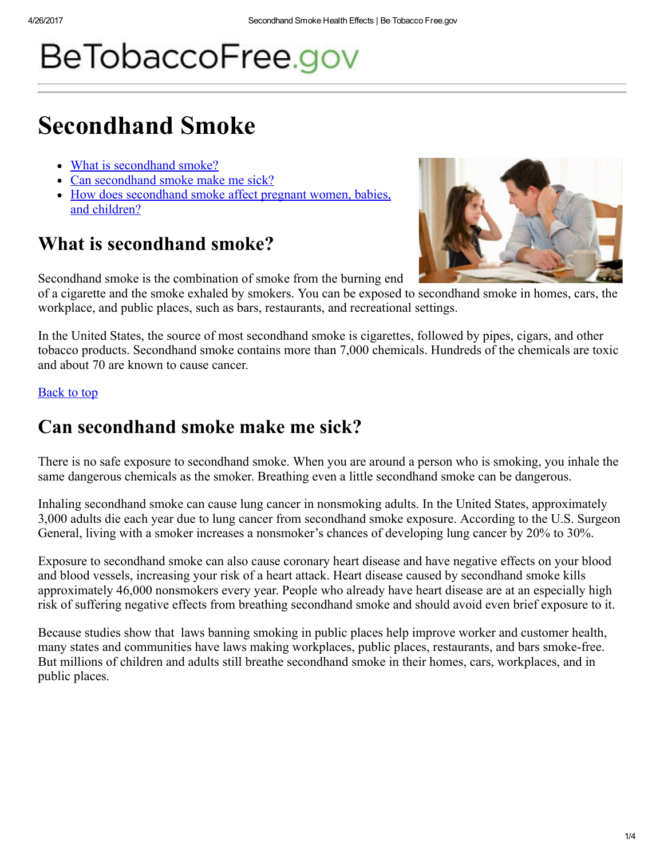# BeTobaccoFree.gov

## Secondhand Smoke

- What is [secondhand](#page-0-0) smoke?
- Can [secondhand](#page-0-1) smoke make me sick?
- How does [secondhand](#page-1-0) smoke affect pregnant women, babies, and children?

## <span id="page-0-0"></span>What is secondhand smoke?

Secondhand smoke is the combination of smoke from the burning end



of a cigarette and the smoke exhaled by smokers. You can be exposed to secondhand smoke in homes, cars, the workplace, and public places, such as bars, restaurants, and recreational settings.

In the United States, the source of most secondhand smoke is cigarettes, followed by pipes, cigars, and other tobacco products. Secondhand smoke contains more than 7,000 chemicals. Hundreds of the chemicals are toxic and about 70 are known to cause cancer.

### Back to top

## <span id="page-0-1"></span>Can secondhand smoke make me sick?

There is no safe exposure to secondhand smoke. When you are around a person who is smoking, you inhale the same dangerous chemicals as the smoker. Breathing even a little secondhand smoke can be dangerous.

Inhaling secondhand smoke can cause lung cancer in nonsmoking adults. In the United States, approximately 3,000 adults die each year due to lung cancer from secondhand smoke exposure. According to the U.S. Surgeon General, living with a smoker increases a nonsmoker's chances of developing lung cancer by 20% to 30%.

Exposure to secondhand smoke can also cause coronary heart disease and have negative effects on your blood and blood vessels, increasing your risk of a heart attack. Heart disease caused by secondhand smoke kills approximately 46,000 nonsmokers every year. People who already have heart disease are at an especially high risk of suffering negative effects from breathing secondhand smoke and should avoid even brief exposure to it.

Because studies show that laws banning smoking in public places help improve worker and customer health, many states and communities have laws making workplaces, public places, restaurants, and bars smoke-free. But millions of children and adults still breathe secondhand smoke in their homes, cars, workplaces, and in public places.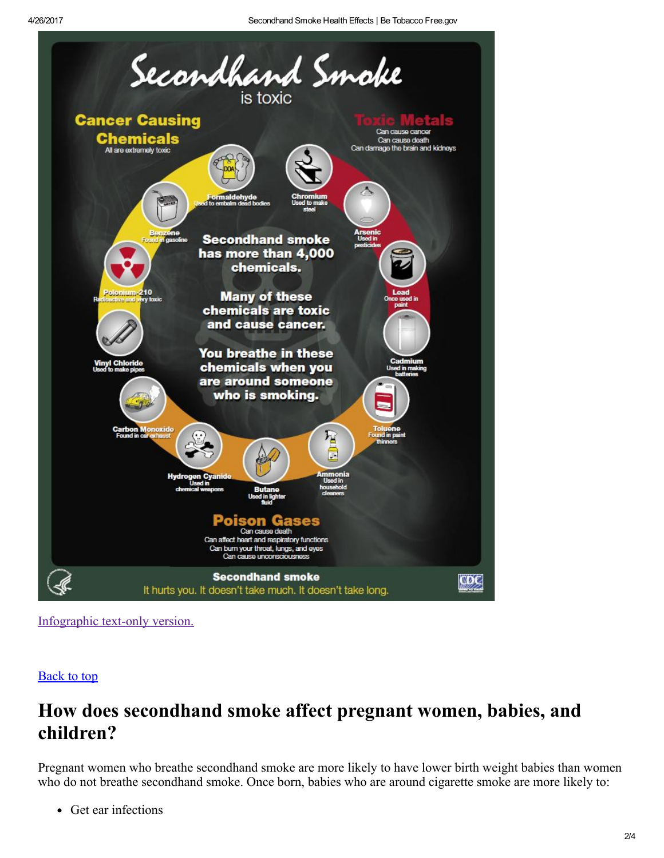

[Infographic](https://betobaccofree.hhs.gov/health-effects/secondhand-smoke/infographic-text.html) text-only version.

### **Back to top**

## <span id="page-1-0"></span>How does secondhand smoke affect pregnant women, babies, and children?

Pregnant women who breathe secondhand smoke are more likely to have lower birth weight babies than women who do not breathe secondhand smoke. Once born, babies who are around cigarette smoke are more likely to:

• Get ear infections